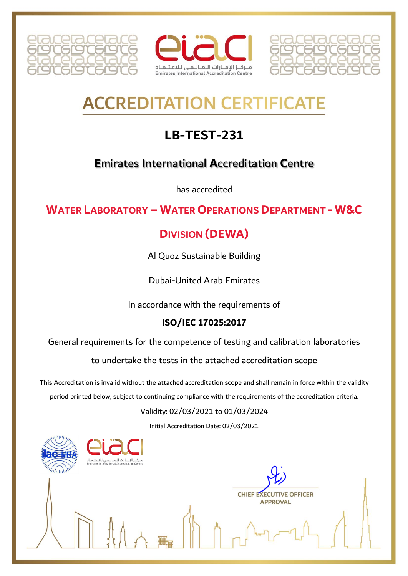





# **ACCREDITATION CERTIFICAT**

## **LB-TEST-231**

### **Emirates International Accreditation Centre**

has accredited

#### **WATER LABORATORY - WATER OPERATIONS DEPARTMENT - W&C**

## **DIVISION (DEWA)**

Al Quoz Sustainable Building

**Dubai-United Arab Emirates** 

In accordance with the requirements of

#### ISO/IEC 17025:2017

General requirements for the competence of testing and calibration laboratories

to undertake the tests in the attached accreditation scope

This Accreditation is invalid without the attached accreditation scope and shall remain in force within the validity period printed below, subject to continuing compliance with the requirements of the accreditation criteria.

#### Validity: 02/03/2021 to 01/03/2024

Initial Accreditation Date: 02/03/2021

ز الإمـارات الـعـالـمـى لـلاعـتـمـاد

**CHIEF EXECUTIVE OFFICER APPROVAL**